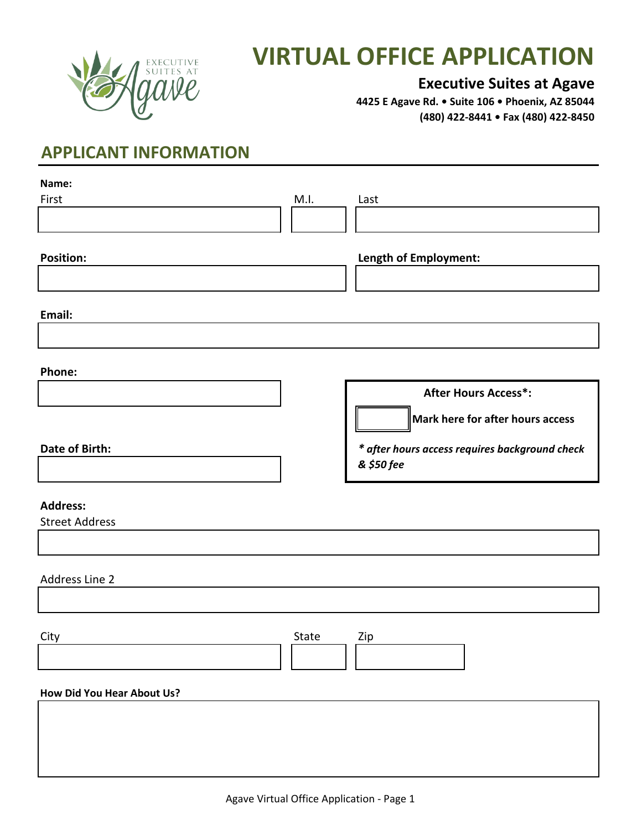

# *XECUTIVE* **VIRTUAL OFFICE APPLICATION**

#### **Executive Suites at Agave**

**4425 E Agave Rd. • Suite 106 • Phoenix, AZ 85044 (480) 422-8441 • Fax (480) 422-8450**

# **APPLICANT INFORMATION**

| Name:                      |       |                                                |
|----------------------------|-------|------------------------------------------------|
| First                      | M.I.  | Last                                           |
|                            |       |                                                |
|                            |       |                                                |
| <b>Position:</b>           |       |                                                |
|                            |       | Length of Employment:                          |
|                            |       |                                                |
|                            |       |                                                |
| Email:                     |       |                                                |
|                            |       |                                                |
|                            |       |                                                |
| Phone:                     |       |                                                |
|                            |       |                                                |
|                            |       | <b>After Hours Access*:</b>                    |
|                            |       | Mark here for after hours access               |
|                            |       |                                                |
| Date of Birth:             |       | * after hours access requires background check |
|                            |       | & \$50 fee                                     |
|                            |       |                                                |
|                            |       |                                                |
| <b>Address:</b>            |       |                                                |
| <b>Street Address</b>      |       |                                                |
|                            |       |                                                |
|                            |       |                                                |
| Address Line 2             |       |                                                |
|                            |       |                                                |
|                            |       |                                                |
|                            |       |                                                |
| City                       | State | Zip                                            |
|                            |       |                                                |
|                            |       |                                                |
| How Did You Hear About Us? |       |                                                |
|                            |       |                                                |
|                            |       |                                                |
|                            |       |                                                |
|                            |       |                                                |
|                            |       |                                                |